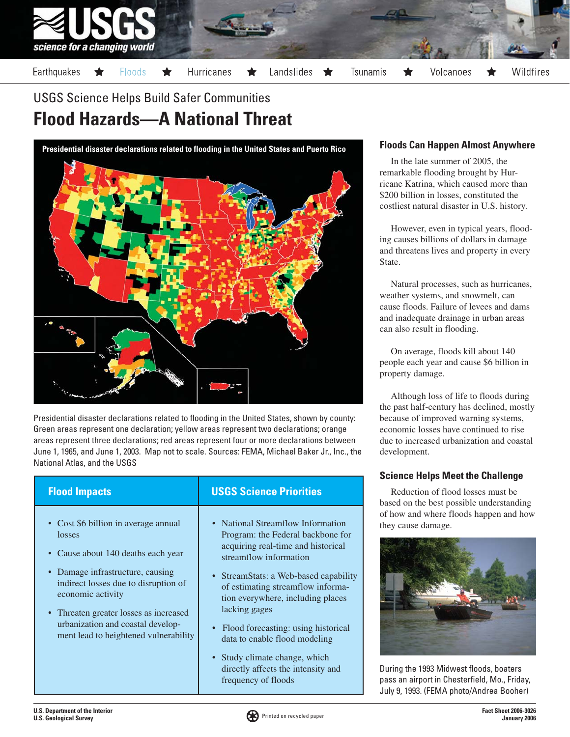

# **Flood Hazards—A National Threat** USGS Science Helps Build Safer Communities

**Presidential disaster declarations related to flooding in the United States and Puerto Rico**



Presidential disaster declarations related to flooding in the United States, shown by county: Green areas represent one declaration; yellow areas represent two declarations; orange areas represent three declarations; red areas represent four or more declarations between June 1, 1965, and June 1, 2003. Map not to scale. Sources: FEMA, Michael Baker Jr., Inc., the National Atlas, and the USGS

- Cost \$6 billion in average annual losses
- Cause about 140 deaths each year
- Damage infrastructure, causing indirect losses due to disruption of economic activity
- Threaten greater losses as increased urbanization and coastal development lead to heightened vulnerability

# **Flood Impacts USGS Science Priorities**

- National Streamflow Information Program: the Federal backbone for acquiring real-time and historical streamflow information
- StreamStats: a Web-based capability of estimating streamflow information everywhere, including places lacking gages
- Flood forecasting: using historical data to enable flood modeling
- Study climate change, which directly affects the intensity and frequency of floods

#### **Floods Can Happen Almost Anywhere**

In the late summer of 2005, the remarkable flooding brought by Hurricane Katrina, which caused more than \$200 billion in losses, constituted the costliest natural disaster in U.S. history.

However, even in typical years, flooding causes billions of dollars in damage and threatens lives and property in every State.

Natural processes, such as hurricanes, weather systems, and snowmelt, can cause floods. Failure of levees and dams and inadequate drainage in urban areas can also result in flooding.

On average, floods kill about 140 people each year and cause \$6 billion in property damage.

Although loss of life to floods during the past half-century has declined, mostly because of improved warning systems, economic losses have continued to rise due to increased urbanization and coastal development.

#### **Science Helps Meet the Challenge**

Reduction of flood losses must be based on the best possible understanding of how and where floods happen and how they cause damage.



During the 1993 Midwest floods, boaters pass an airport in Chesterfield, Mo., Friday, July 9, 1993. (FEMA photo/Andrea Booher)